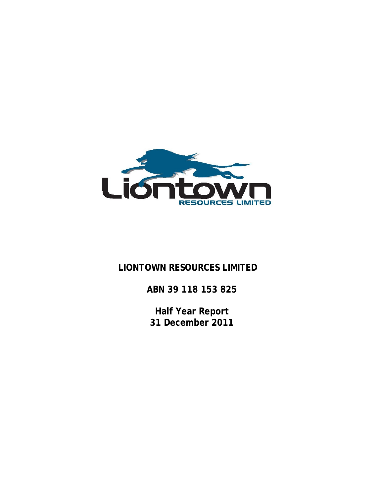

# **LIONTOWN RESOURCES LIMITED**

**ABN 39 118 153 825** 

**Half Year Report 31 December 2011**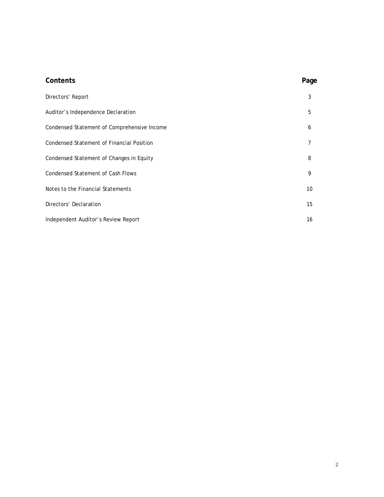# **Contents Page**

| Directors' Report                           | 3               |
|---------------------------------------------|-----------------|
| Auditor's Independence Declaration          | 5               |
| Condensed Statement of Comprehensive Income | 6               |
| Condensed Statement of Financial Position   | 7               |
| Condensed Statement of Changes in Equity    | 8               |
| Condensed Statement of Cash Flows           | 9               |
| Notes to the Financial Statements           | 10 <sup>°</sup> |
| Directors' Declaration                      | 15              |
| Independent Auditor's Review Report         | 16              |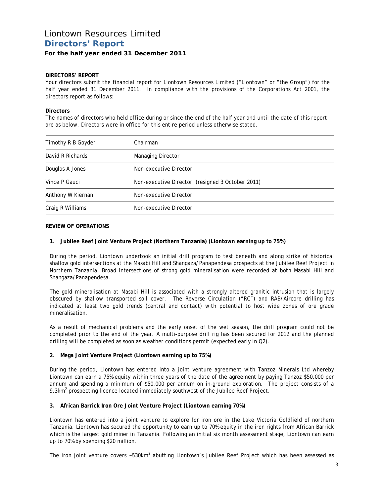# Liontown Resources Limited **Directors' Report**

### **For the half year ended 31 December 2011**

#### **DIRECTORS' REPORT**

Your directors submit the financial report for Liontown Resources Limited ("Liontown" or "the Group") for the half year ended 31 December 2011. In compliance with the provisions of the Corporations Act 2001, the directors report as follows:

#### **Directors**

The names of directors who held office during or since the end of the half year and until the date of this report are as below. Directors were in office for this entire period unless otherwise stated.

| Timothy R B Goyder | Chairman                                         |
|--------------------|--------------------------------------------------|
| David R Richards   | <b>Managing Director</b>                         |
| Douglas A Jones    | Non-executive Director                           |
| Vince P Gauci      | Non-executive Director (resigned 3 October 2011) |
| Anthony W Kiernan  | Non-executive Director                           |
| Craig R Williams   | Non-executive Director                           |

#### **REVIEW OF OPERATIONS**

#### **1. Jubilee Reef Joint Venture Project (Northern Tanzania) (Liontown earning up to 75%)**

During the period, Liontown undertook an initial drill program to test beneath and along strike of historical shallow gold intersections at the Masabi Hill and Shangaza/Panapendesa prospects at the Jubilee Reef Project in Northern Tanzania. Broad intersections of strong gold mineralisation were recorded at both Masabi Hill and Shangaza/Panapendesa.

The gold mineralisation at Masabi Hill is associated with a strongly altered granitic intrusion that is largely obscured by shallow transported soil cover. The Reverse Circulation ("RC") and RAB/Aircore drilling has indicated at least two gold trends (central and contact) with potential to host wide zones of ore grade mineralisation.

As a result of mechanical problems and the early onset of the wet season, the drill program could not be completed prior to the end of the year. A multi-purpose drill rig has been secured for 2012 and the planned drilling will be completed as soon as weather conditions permit (expected early in Q2).

#### **2. Mega Joint Venture Project (Liontown earning up to 75%)**

During the period, Liontown has entered into a joint venture agreement with Tanzoz Minerals Ltd whereby Liontown can earn a 75% equity within three years of the date of the agreement by paying Tanzoz \$50,000 per annum and spending a minimum of \$50,000 per annum on in-ground exploration. The project consists of a 9.3 $km^2$  prospecting licence located immediately southwest of the Jubilee Reef Project.

#### **3. African Barrick Iron Ore Joint Venture Project (Liontown earning 70%)**

Liontown has entered into a joint venture to explore for iron ore in the Lake Victoria Goldfield of northern Tanzania. Liontown has secured the opportunity to earn up to 70% equity in the iron rights from African Barrick which is the largest gold miner in Tanzania. Following an initial six month assessment stage, Liontown can earn up to 70% by spending \$20 million.

The iron joint venture covers ~530km<sup>2</sup> abutting Liontown's Jubilee Reef Project which has been assessed as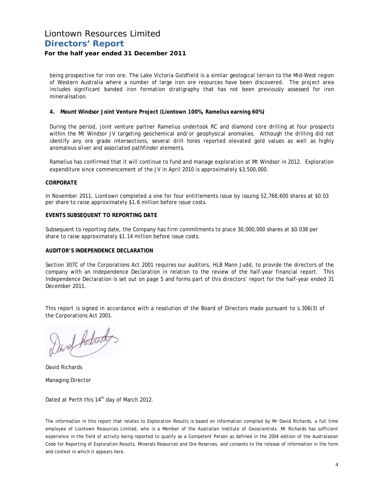# Liontown Resources Limited **Directors' Report**

### **For the half year ended 31 December 2011**

being prospective for iron ore. The Lake Victoria Goldfield is a similar geological terrain to the Mid-West region of Western Australia where a number of large iron ore resources have been discovered. The project area includes significant banded iron formation stratigraphy that has not been previously assessed for iron mineralisation.

#### **4. Mount Windsor Joint Venture Project (Liontown 100%, Ramelius earning 60%)**

During the period, joint venture partner Ramelius undertook RC and diamond core drilling at four prospects within the Mt Windsor JV targeting geochemical and/or geophysical anomalies. Although the drilling did not identify any ore grade intersections, several drill holes reported elevated gold values as well as highly anomalous silver and associated pathfinder elements.

Ramelius has confirmed that it will continue to fund and manage exploration at Mt Windsor in 2012. Exploration expenditure since commencement of the JV in April 2010 is approximately \$3,500,000.

#### **CORPORATE**

In November 2011, Liontown completed a one for four entitlements issue by issuing 52,768,600 shares at \$0.03 per share to raise approximately \$1.6 million before issue costs.

#### **EVENTS SUBSEQUENT TO REPORTING DATE**

Subsequent to reporting date, the Company has firm commitments to place 30,000,000 shares at \$0.038 per share to raise approximately \$1.14 million before issue costs.

#### **AUDITOR'S INDEPENDENCE DECLARATION**

Section 307C of the Corporations Act 2001 requires our auditors, HLB Mann Judd, to provide the directors of the company with an Independence Declaration in relation to the review of the half-year financial report. This Independence Declaration is set out on page 5 and forms part of this directors' report for the half-year ended 31 December 2011.

This report is signed in accordance with a resolution of the Board of Directors made pursuant to s.306(3) of the Corporations Act 2001.

David Adverd

David Richards Managing Director

Dated at Perth this 14<sup>th</sup> day of March 2012.

The information in this report that relates to Exploration Results is based on information compiled by Mr David Richards, a full time employee of Liontown Resources Limited, who is a Member of the Australian Institute of Geoscientists. Mr Richards has sufficient experience in the field of activity being reported to qualify as a Competent Person as defined in the 2004 edition of the Australasian Code for Reporting of Exploration Results, Minerals Resources and Ore Reserves, and consents to the release of information in the form and context in which it appears here.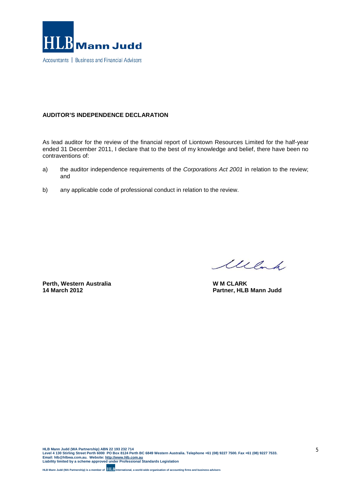

### **AUDITOR'S INDEPENDENCE DECLARATION**

As lead auditor for the review of the financial report of Liontown Resources Limited for the half-year ended 31 December 2011, I declare that to the best of my knowledge and belief, there have been no contraventions of:

- a) the auditor independence requirements of the *Corporations Act 2001* in relation to the review; and
- b) any applicable code of professional conduct in relation to the review.

**Perth, Western Australia WIM CLARK** 

Welah,

**14 March 2012 Partner, HLB Mann Judd**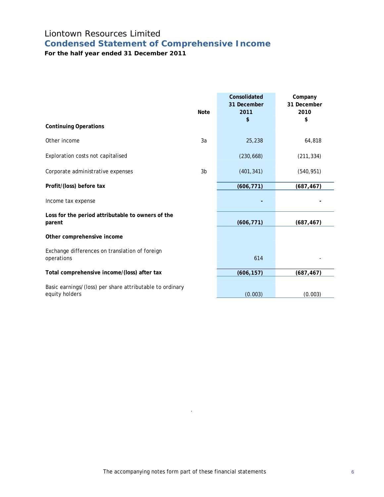# Liontown Resources Limited **Condensed Statement of Comprehensive Income**

**For the half year ended 31 December 2011** 

|                                                                            | <b>Note</b>    | Consolidated<br>31 December<br>2011<br>\$ | Company<br>31 December<br>2010<br>\$ |
|----------------------------------------------------------------------------|----------------|-------------------------------------------|--------------------------------------|
| <b>Continuing Operations</b>                                               |                |                                           |                                      |
| Other income                                                               | 3a             | 25,238                                    | 64,818                               |
| Exploration costs not capitalised                                          |                | (230, 668)                                | (211, 334)                           |
| Corporate administrative expenses                                          | 3 <sub>b</sub> | (401, 341)                                | (540, 951)                           |
| Profit/(loss) before tax                                                   |                | (606, 771)                                | (687, 467)                           |
| Income tax expense                                                         |                |                                           |                                      |
| Loss for the period attributable to owners of the<br>parent                |                | (606, 771)                                | (687, 467)                           |
| Other comprehensive income                                                 |                |                                           |                                      |
| Exchange differences on translation of foreign<br>operations               |                | 614                                       |                                      |
| Total comprehensive income/(loss) after tax                                |                | (606, 157)                                | (687, 467)                           |
| Basic earnings/(loss) per share attributable to ordinary<br>equity holders |                | (0.003)                                   | (0.003)                              |

.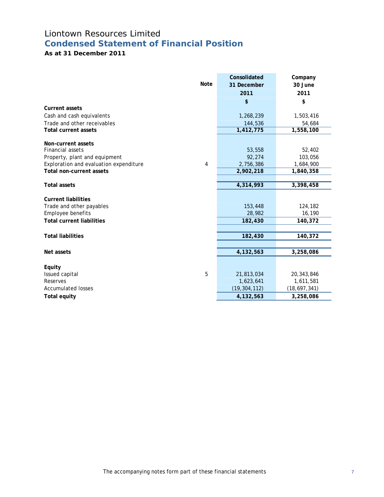# Liontown Resources Limited **Condensed Statement of Financial Position**

# **As at 31 December 2011**

|                                                       | <b>Note</b> | Consolidated   | Company      |
|-------------------------------------------------------|-------------|----------------|--------------|
|                                                       |             | 31 December    | 30 June      |
|                                                       |             | 2011           | 2011         |
|                                                       |             | \$             | \$           |
| <b>Current assets</b>                                 |             |                |              |
| Cash and cash equivalents                             |             | 1,268,239      | 1,503,416    |
| Trade and other receivables                           |             | 144,536        | 54,684       |
| <b>Total current assets</b>                           |             | 1,412,775      | 1,558,100    |
| Non-current assets                                    |             |                |              |
| <b>Financial assets</b>                               |             | 53,558         | 52,402       |
| Property, plant and equipment                         |             | 92,274         | 103,056      |
| Exploration and evaluation expenditure                | 4           | 2,756,386      | 1,684,900    |
| Total non-current assets                              |             | 2,902,218      | 1,840,358    |
|                                                       |             |                |              |
| <b>Total assets</b>                                   |             | 4,314,993      | 3,398,458    |
|                                                       |             |                |              |
| <b>Current liabilities</b>                            |             |                |              |
| Trade and other payables                              |             | 153,448        | 124,182      |
| Employee benefits<br><b>Total current liabilities</b> |             | 28,982         | 16,190       |
|                                                       |             | 182,430        | 140,372      |
| <b>Total liabilities</b>                              |             | 182,430        | 140,372      |
|                                                       |             |                |              |
| Net assets                                            |             | 4,132,563      | 3,258,086    |
|                                                       |             |                |              |
| Equity                                                |             |                |              |
| Issued capital                                        | 5           | 21,813,034     | 20,343,846   |
| Reserves                                              |             | 1,623,641      | 1,611,581    |
| <b>Accumulated losses</b>                             |             | (19, 304, 112) | (18,697,341) |
| <b>Total equity</b>                                   |             | 4,132,563      | 3,258,086    |
|                                                       |             |                |              |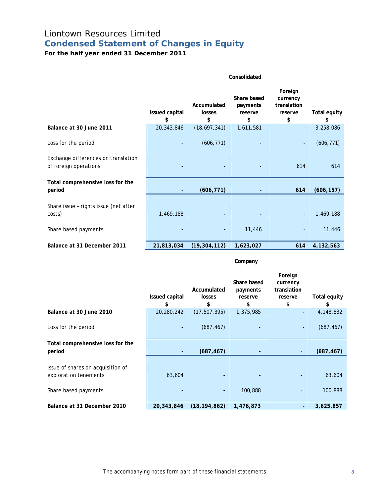# Liontown Resources Limited **Condensed Statement of Changes in Equity**

**For the half year ended 31 December 2011** 

|                                                              |                      |                             | Consolidated                             |                                                     |                           |
|--------------------------------------------------------------|----------------------|-----------------------------|------------------------------------------|-----------------------------------------------------|---------------------------|
|                                                              | Issued capital<br>\$ | Accumulated<br>losses<br>\$ | Share based<br>payments<br>reserve<br>\$ | Foreign<br>currency<br>translation<br>reserve<br>\$ | <b>Total equity</b><br>\$ |
| Balance at 30 June 2011                                      | 20,343,846           | (18,697,341)                | 1,611,581                                | ÷                                                   | 3,258,086                 |
| Loss for the period                                          |                      | (606, 771)                  |                                          |                                                     | (606, 771)                |
| Exchange differences on translation<br>of foreign operations |                      |                             |                                          | 614                                                 | 614                       |
| Total comprehensive loss for the<br>period                   |                      | (606, 771)                  |                                          | 614                                                 | (606, 157)                |
| Share issue - rights issue (net after<br>costs)              | 1,469,188            |                             |                                          |                                                     | 1,469,188                 |
| Share based payments                                         |                      |                             | 11,446                                   |                                                     | 11,446                    |
| Balance at 31 December 2011                                  | 21,813,034           | (19, 304, 112)              | 1,623,027                                | 614                                                 | 4, 132, 563               |

### **Company**

|                                                            | Issued capital<br>\$ | Accumulated<br>losses<br>\$ | Share based<br>payments<br>reserve<br>\$ | Foreign<br>currency<br>translation<br>reserve<br>\$ | Total equity<br>\$ |
|------------------------------------------------------------|----------------------|-----------------------------|------------------------------------------|-----------------------------------------------------|--------------------|
| Balance at 30 June 2010                                    | 20,280,242           | (17, 507, 395)              | 1,375,985                                |                                                     | 4,148,832          |
| Loss for the period                                        |                      | (687, 467)                  |                                          | ٠                                                   | (687, 467)         |
| Total comprehensive loss for the<br>period                 |                      | (687, 467)                  |                                          |                                                     | (687, 467)         |
| Issue of shares on acquisition of<br>exploration tenements | 63,604               |                             |                                          |                                                     | 63,604             |
| Share based payments                                       |                      | $\blacksquare$              | 100,888                                  |                                                     | 100,888            |
| Balance at 31 December 2010                                | 20,343,846           | (18, 194, 862)              | 1,476,873                                |                                                     | 3,625,857          |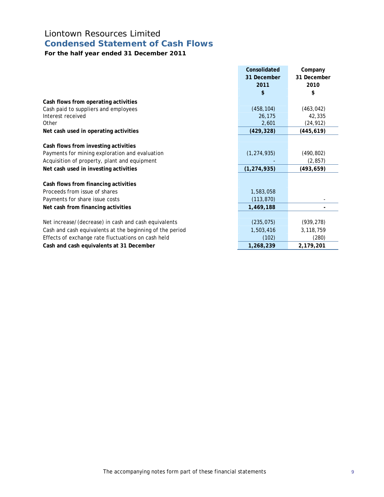# Liontown Resources Limited **Condensed Statement of Cash Flows**

# **For the half year ended 31 December 2011**

|                                                          | Consolidated  | Company     |
|----------------------------------------------------------|---------------|-------------|
|                                                          | 31 December   | 31 December |
|                                                          | 2011          | 2010        |
|                                                          | \$            | S           |
| Cash flows from operating activities                     |               |             |
| Cash paid to suppliers and employees                     | (458, 104)    | (463, 042)  |
| Interest received                                        | 26,175        | 42,335      |
| Other                                                    | 2,601         | (24, 912)   |
| Net cash used in operating activities                    | (429, 328)    | (445, 619)  |
|                                                          |               |             |
| Cash flows from investing activities                     |               |             |
| Payments for mining exploration and evaluation           | (1, 274, 935) | (490, 802)  |
| Acquisition of property, plant and equipment             |               | (2, 857)    |
| Net cash used in investing activities                    | (1, 274, 935) | (493, 659)  |
|                                                          |               |             |
| Cash flows from financing activities                     |               |             |
| Proceeds from issue of shares                            | 1,583,058     |             |
| Payments for share issue costs                           | (113, 870)    |             |
| Net cash from financing activities                       | 1,469,188     |             |
|                                                          |               |             |
| Net increase/(decrease) in cash and cash equivalents     | (235, 075)    | (939, 278)  |
| Cash and cash equivalents at the beginning of the period | 1,503,416     | 3,118,759   |
| Effects of exchange rate fluctuations on cash held       | (102)         | (280)       |
| Cash and cash equivalents at 31 December                 | 1,268,239     | 2,179,201   |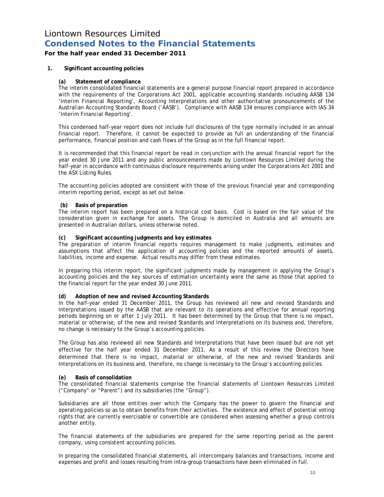### **For the half year ended 31 December 2011**

#### **1. Significant accounting policies**

#### **(a) Statement of compliance**

The interim consolidated financial statements are a general purpose financial report prepared in accordance with the requirements of the Corporations Act 2001, applicable accounting standards including AASB 134 'Interim Financial Reporting', Accounting Interpretations and other authoritative pronouncements of the Australian Accounting Standards Board ('AASB'). Compliance with AASB 134 ensures compliance with IAS 34 'Interim Financial Reporting'.

This condensed half-year report does not include full disclosures of the type normally included in an annual financial report. Therefore, it cannot be expected to provide as full an understanding of the financial performance, financial position and cash flows of the Group as in the full financial report.

It is recommended that this financial report be read in conjunction with the annual financial report for the year ended 30 June 2011 and any public announcements made by Liontown Resources Limited during the half-year in accordance with continuous disclosure requirements arising under the Corporations Act 2001 and the ASX Listing Rules.

The accounting policies adopted are consistent with those of the previous financial year and corresponding interim reporting period, except as set out below.

#### **(b) Basis of preparation**

The interim report has been prepared on a historical cost basis. Cost is based on the fair value of the consideration given in exchange for assets. The Group is domiciled in Australia and all amounts are presented in Australian dollars, unless otherwise noted.

#### **(c) Significant accounting judgments and key estimates**

The preparation of interim financial reports requires management to make judgments, estimates and assumptions that affect the application of accounting policies and the reported amounts of assets, liabilities, income and expense. Actual results may differ from these estimates.

In preparing this interim report, the significant judgments made by management in applying the Group's accounting policies and the key sources of estimation uncertainty were the same as those that applied to the financial report for the year ended 30 June 2011.

#### **(d) Adoption of new and revised Accounting Standards**

In the half-year ended 31 December 2011, the Group has reviewed all new and revised Standards and Interpretations issued by the AASB that are relevant to its operations and effective for annual reporting periods beginning on or after 1 July 2011. It has been determined by the Group that there is no impact, material or otherwise, of the new and revised Standards and Interpretations on its business and, therefore, no change is necessary to the Group's accounting policies.

The Group has also reviewed all new Standards and Interpretations that have been issued but are not yet effective for the half year ended 31 December 2011. As a result of this review the Directors have determined that there is no impact, material or otherwise, of the new and revised Standards and Interpretations on its business and, therefore, no change is necessary to the Group's accounting policies.

#### **(e) Basis of consolidation**

The consolidated financial statements comprise the financial statements of Liontown Resources Limited ("Company" or "Parent") and its subsidiaries (the "Group").

Subsidiaries are all those entities over which the Company has the power to govern the financial and operating policies so as to obtain benefits from their activities. The existence and effect of potential voting rights that are currently exercisable or convertible are considered when assessing whether a group controls another entity.

The financial statements of the subsidiaries are prepared for the same reporting period as the parent company, using consistent accounting policies.

In preparing the consolidated financial statements, all intercompany balances and transactions, income and expenses and profit and losses resulting from intra-group transactions have been eliminated in full.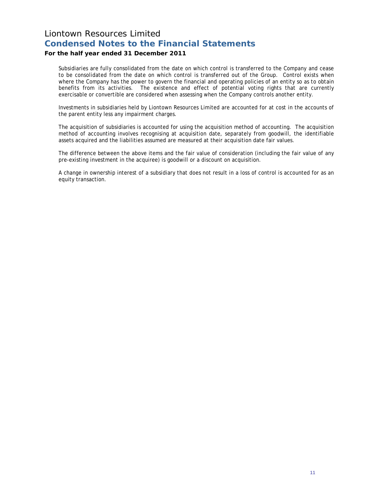### **For the half year ended 31 December 2011**

Subsidiaries are fully consolidated from the date on which control is transferred to the Company and cease to be consolidated from the date on which control is transferred out of the Group. Control exists when where the Company has the power to govern the financial and operating policies of an entity so as to obtain benefits from its activities. The existence and effect of potential voting rights that are currently exercisable or convertible are considered when assessing when the Company controls another entity.

Investments in subsidiaries held by Liontown Resources Limited are accounted for at cost in the accounts of the parent entity less any impairment charges.

The acquisition of subsidiaries is accounted for using the acquisition method of accounting. The acquisition method of accounting involves recognising at acquisition date, separately from goodwill, the identifiable assets acquired and the liabilities assumed are measured at their acquisition date fair values.

The difference between the above items and the fair value of consideration (including the fair value of any pre-existing investment in the acquiree) is goodwill or a discount on acquisition.

A change in ownership interest of a subsidiary that does not result in a loss of control is accounted for as an equity transaction.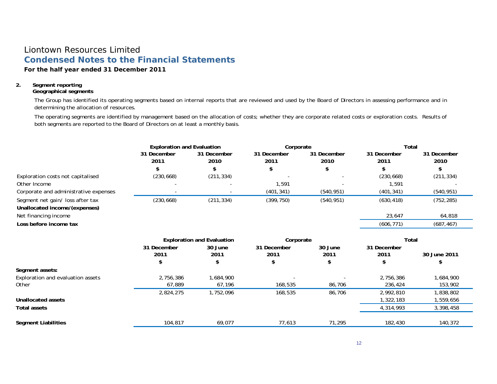# Liontown Resources Limited **Condensed Notes to the Financial Statements For the half year ended 31 December 2011**

### **2. Segment reporting**

### **Geographical segments**

The Group has identified its operating segments based on internal reports that are reviewed and used by the Board of Directors in assessing performance and in determining the allocation of resources.

The operating segments are identified by management based on the allocation of costs; whether they are corporate related costs or exploration costs. Results of both segments are reported to the Board of Directors on at least a monthly basis.

|                                       | <b>Exploration and Evaluation</b> |                                   | Corporate           |                     | Total               |                     |
|---------------------------------------|-----------------------------------|-----------------------------------|---------------------|---------------------|---------------------|---------------------|
|                                       | 31 December<br>2011               | 31 December<br>2010               | 31 December<br>2011 | 31 December<br>2010 | 31 December<br>2011 | 31 December<br>2010 |
|                                       | \$                                |                                   | \$                  |                     | \$                  | \$                  |
| Exploration costs not capitalised     | (230, 668)                        | (211, 334)                        |                     |                     | (230, 668)          | (211, 334)          |
| Other Income                          |                                   |                                   | 1,591               |                     | 1,591               |                     |
| Corporate and administrative expenses |                                   |                                   | (401, 341)          | (540, 951)          | (401, 341)          | (540, 951)          |
| Segment net gain/ loss after tax      | (230, 668)                        | (211, 334)                        | (399, 750)          | (540, 951)          | (630, 418)          | (752, 285)          |
| Unallocated income/(expenses)         |                                   |                                   |                     |                     |                     |                     |
| Net financing income                  |                                   |                                   |                     |                     | 23,647              | 64,818              |
| Loss before income tax                |                                   |                                   |                     |                     | (606, 771)          | (687, 467)          |
|                                       |                                   |                                   |                     |                     |                     |                     |
|                                       |                                   | <b>Exploration and Evaluation</b> | Corporate           |                     | Total               |                     |
|                                       | 31 December                       | 30 June                           | 31 December         | 30 June             | 31 December         |                     |
|                                       | 2011                              | 2011                              | 2011                | 2011                | 2011                | 30 June 2011        |
|                                       |                                   |                                   |                     | S                   | S                   | \$                  |
| Segment assets:                       |                                   |                                   |                     |                     |                     |                     |
| Exploration and evaluation assets     | 2,756,386                         | 1,684,900                         |                     |                     | 2,756,386           | 1,684,900           |
| Other                                 | 67,889                            | 67,196                            | 168,535             | 86,706              | 236,424             | 153,902             |
|                                       | 2,824,275                         | 1,752,096                         | 168,535             | 86,706              | 2,992,810           | 1,838,802           |
| <b>Unallocated assets</b>             |                                   |                                   |                     |                     | 1,322,183           | 1,559,656           |
| <b>Total assets</b>                   |                                   |                                   |                     |                     | 4,314,993           | 3,398,458           |
| <b>Segment Liabilities</b>            | 104,817                           | 69,077                            | 77,613              | 71,295              | 182,430             | 140,372             |
|                                       |                                   |                                   |                     |                     |                     |                     |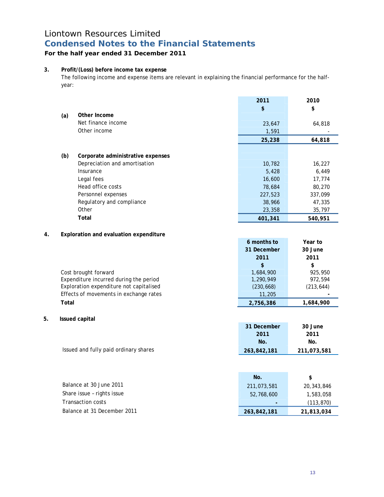# **For the half year ended 31 December 2011**

### **3. Profit/(Loss) before income tax expense**

The following income and expense items are relevant in explaining the financial performance for the halfyear:

|     |                                   | 2011    | 2010    |
|-----|-----------------------------------|---------|---------|
|     |                                   | \$      | \$      |
| (a) | Other Income                      |         |         |
|     | Net finance income                | 23,647  | 64,818  |
|     | Other income                      | 1,591   |         |
|     |                                   | 25,238  | 64,818  |
|     |                                   |         |         |
| (b) | Corporate administrative expenses |         |         |
|     | Depreciation and amortisation     | 10,782  | 16,227  |
|     | Insurance                         | 5,428   | 6,449   |
|     | Legal fees                        | 16,600  | 17,774  |
|     | Head office costs                 | 78,684  | 80,270  |
|     | Personnel expenses                | 227,523 | 337,099 |
|     | Regulatory and compliance         | 38,966  | 47,335  |
|     | Other                             | 23,358  | 35,797  |
|     | Total                             | 401,341 | 540,951 |

### **4. Exploration and evaluation expenditure**

|                                         | 6 months to | Year to    |
|-----------------------------------------|-------------|------------|
|                                         | 31 December | 30 June    |
|                                         | 2011        | 2011       |
|                                         |             | \$         |
| Cost brought forward                    | 1,684,900   | 925,950    |
| Expenditure incurred during the period  | 1,290,949   | 972.594    |
| Exploration expenditure not capitalised | (230, 668)  | (213, 644) |
| Effects of movements in exchange rates  | 11,205      |            |
| Total                                   | 2,756,386   | 1,684,900  |

#### **5. Issued capital**

|                                       | 31 December | 30 June     |
|---------------------------------------|-------------|-------------|
|                                       | 2011        | 2011        |
|                                       | No.         | No.         |
| Issued and fully paid ordinary shares | 263,842,181 | 211,073,581 |
|                                       |             |             |
|                                       |             |             |

|                             | No.         |            |
|-----------------------------|-------------|------------|
| Balance at 30 June 2011     | 211,073,581 | 20,343,846 |
| Share issue - rights issue  | 52,768,600  | 1,583,058  |
| Transaction costs           |             | (113, 870) |
| Balance at 31 December 2011 | 263,842,181 | 21,813,034 |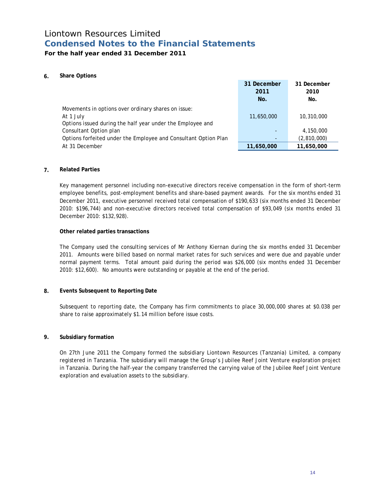### **For the half year ended 31 December 2011**

### **6. Share Options**

|                                                                 | 31 December | 31 December |
|-----------------------------------------------------------------|-------------|-------------|
|                                                                 | 2011        | 2010        |
|                                                                 | No.         | No.         |
| Movements in options over ordinary shares on issue:             |             |             |
| At 1 July                                                       | 11,650,000  | 10,310,000  |
| Options issued during the half year under the Employee and      |             |             |
| Consultant Option plan                                          |             | 4,150,000   |
| Options forfeited under the Employee and Consultant Option Plan | ٠           | (2,810,000) |
| At 31 December                                                  | 11,650,000  | 11,650,000  |

### **7. Related Parties**

Key management personnel including non-executive directors receive compensation in the form of short-term employee benefits, post-employment benefits and share-based payment awards. For the six months ended 31 December 2011, executive personnel received total compensation of \$190,633 (six months ended 31 December 2010: \$196,744) and non-executive directors received total compensation of \$93,049 (six months ended 31 December 2010: \$132,928).

#### **Other related parties transactions**

The Company used the consulting services of Mr Anthony Kiernan during the six months ended 31 December 2011. Amounts were billed based on normal market rates for such services and were due and payable under normal payment terms. Total amount paid during the period was \$26,000 (six months ended 31 December 2010: \$12,600). No amounts were outstanding or payable at the end of the period.

### **8. Events Subsequent to Reporting Date**

 Subsequent to reporting date, the Company has firm commitments to place 30,000,000 shares at \$0.038 per share to raise approximately \$1.14 million before issue costs.

#### **9. Subsidiary formation**

On 27th June 2011 the Company formed the subsidiary Liontown Resources (Tanzania) Limited, a company registered in Tanzania. The subsidiary will manage the Group's Jubilee Reef Joint Venture exploration project in Tanzania. During the half-year the company transferred the carrying value of the Jubilee Reef Joint Venture exploration and evaluation assets to the subsidiary.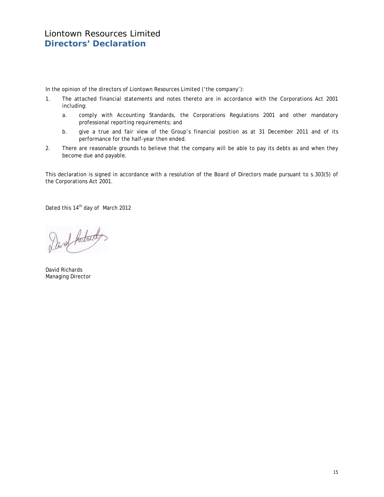In the opinion of the directors of Liontown Resources Limited ('the company'):

- 1. The attached financial statements and notes thereto are in accordance with the Corporations Act 2001 including:
	- a. comply with Accounting Standards, the Corporations Regulations 2001 and other mandatory professional reporting requirements; and
	- b. give a true and fair view of the Group's financial position as at 31 December 2011 and of its performance for the half-year then ended.
- 2. There are reasonable grounds to believe that the company will be able to pay its debts as and when they become due and payable.

This declaration is signed in accordance with a resolution of the Board of Directors made pursuant to s.303(5) of the Corporations Act 2001.

Dated this 14<sup>th</sup> day of March 2012

David Adrady

David Richards Managing Director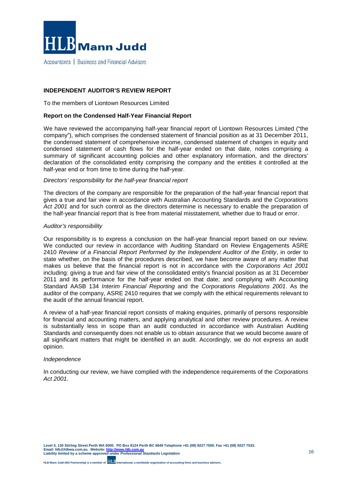

Accountants | Business and Financial Advisers

### **INDEPENDENT AUDITOR'S REVIEW REPORT**

To the members of Liontown Resources Limited

#### **Report on the Condensed Half-Year Financial Report**

We have reviewed the accompanying half-year financial report of Liontown Resources Limited ("the company"), which comprises the condensed statement of financial position as at 31 December 2011, the condensed statement of comprehensive income, condensed statement of changes in equity and condensed statement of cash flows for the half-year ended on that date, notes comprising a summary of significant accounting policies and other explanatory information, and the directors' declaration of the consolidated entity comprising the company and the entities it controlled at the half-year end or from time to time during the half-year.

#### *Directors' responsibility for the half-year financial report*

The directors of the company are responsible for the preparation of the half-year financial report that gives a true and fair view in accordance with Australian Accounting Standards and the *Corporations*  Act 2001 and for such control as the directors determine is necessary to enable the preparation of the half-year financial report that is free from material misstatement, whether due to fraud or error.

#### *Auditor's responsibility*

Our responsibility is to express a conclusion on the half-year financial report based on our review. We conducted our review in accordance with Auditing Standard on Review Engagements ASRE 2410 *Review of a Financial Report Performed by the Independent Auditor of the Entity*, in order to state whether, on the basis of the procedures described, we have become aware of any matter that makes us believe that the financial report is not in accordance with the *Corporations Act 2001*  including: giving a true and fair view of the consolidated entity's financial position as at 31 December 2011 and its performance for the half-year ended on that date; and complying with Accounting Standard AASB 134 *Interim Financial Reporting* and the *Corporations Regulations 2001*. As the auditor of the company, ASRE 2410 requires that we comply with the ethical requirements relevant to the audit of the annual financial report.

A review of a half-year financial report consists of making enquiries, primarily of persons responsible for financial and accounting matters, and applying analytical and other review procedures. A review is substantially less in scope than an audit conducted in accordance with Australian Auditing Standards and consequently does not enable us to obtain assurance that we would become aware of all significant matters that might be identified in an audit. Accordingly, we do not express an audit opinion.

#### *Independence*

In conducting our review, we have complied with the independence requirements of the *Corporations Act 2001*.